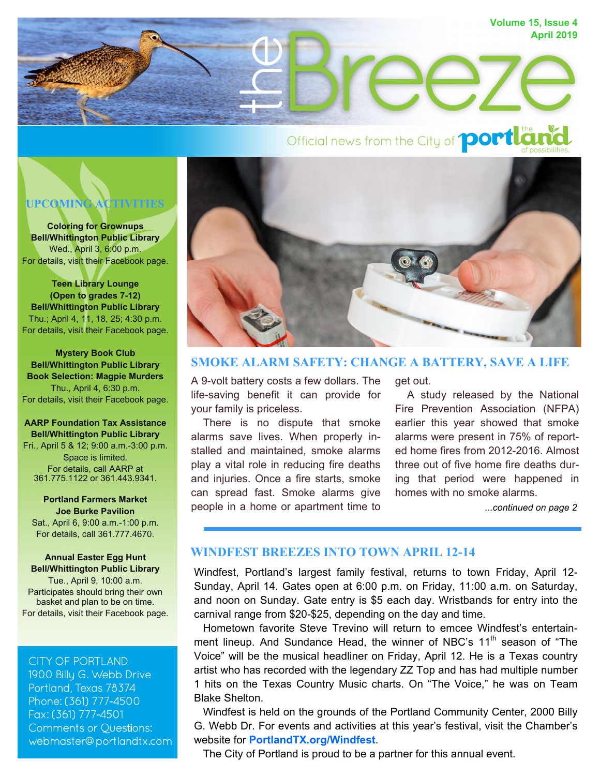

# Official news from the City of **port La**

## **UPCOMING ACTIVITIES**

**Coloring for Grownups Bell/Whittington Public Library**  Wed., April 3, 6:00 p.m. For details, visit their Facebook page.

**Teen Library Lounge (Open to grades 7-12) Bell/Whittington Public Library**  Thu.; April 4, 11, 18, 25; 4:30 p.m. For details, visit their Facebook page.

**Mystery Book Club Bell/Whittington Public Library Book Selection: Magpie Murders**  Thu., April 4, 6:30 p.m. For details, visit their Facebook page.

#### **AARP Foundation Tax Assistance Bell/Whittington Public Library**  Fri., April 5 & 12; 9:00 a.m.-3:00 p.m. Space is limited. For details, call AARP at 361.775.1122 or 361.443.9341.

**Portland Farmers Market Joe Burke Pavilion**  Sat., April 6, 9:00 a.m.-1:00 p.m. For details, call 361.777.4670.

**Annual Easter Egg Hunt Bell/Whittington Public Library**  Tue., April 9, 10:00 a.m. Participates should bring their own basket and plan to be on time. For details, visit their Facebook page.

**CITY OF PORTLAND** 1900 Billy G. Webb Drive Portland, Texas 78374 Phone: (361) 777-4500 Fax: (361) 777-4501 **Comments or Questions:** webmaster@portlandtx.com



#### **SMOKE ALARM SAFETY: CHANGE A BATTERY, SAVE A LIFE**

A 9-volt battery costs a few dollars. The life-saving benefit it can provide for your family is priceless.

 There is no dispute that smoke alarms save lives. When properly installed and maintained, smoke alarms play a vital role in reducing fire deaths and injuries. Once a fire starts, smoke can spread fast. Smoke alarms give people in a home or apartment time to get out.

 A study released by the National Fire Prevention Association (NFPA) earlier this year showed that smoke alarms were present in 75% of reported home fires from 2012-2016. Almost three out of five home fire deaths during that period were happened in homes with no smoke alarms.

*...continued on page 2*

#### **WINDFEST BREEZES INTO TOWN APRIL 12-14**

Windfest, Portland's largest family festival, returns to town Friday, April 12- Sunday, April 14. Gates open at 6:00 p.m. on Friday, 11:00 a.m. on Saturday, and noon on Sunday. Gate entry is \$5 each day. Wristbands for entry into the carnival range from \$20-\$25, depending on the day and time.

 Hometown favorite Steve Trevino will return to emcee Windfest's entertainment lineup. And Sundance Head, the winner of NBC's 11<sup>th</sup> season of "The Voice" will be the musical headliner on Friday, April 12. He is a Texas country artist who has recorded with the legendary ZZ Top and has had multiple number 1 hits on the Texas Country Music charts. On "The Voice," he was on Team Blake Shelton.

 Windfest is held on the grounds of the Portland Community Center, 2000 Billy G. Webb Dr. For events and activities at this year's festival, visit the Chamber's website for **PortlandTX.org/Windfest**.

The City of Portland is proud to be a partner for this annual event.